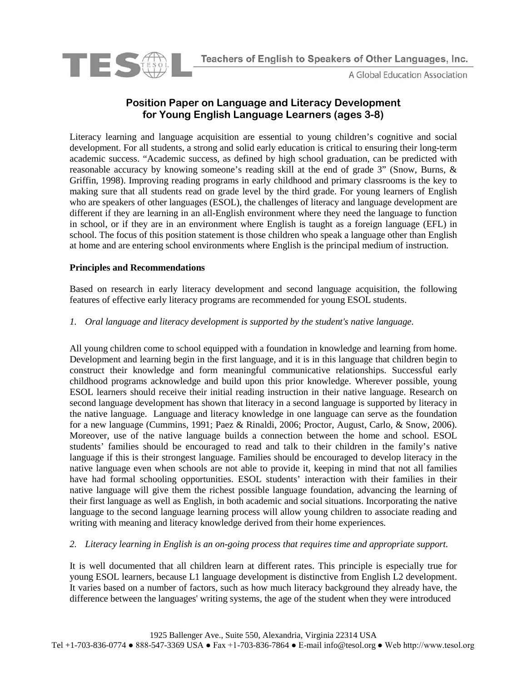

A Global Education Association

# **Position Paper on Language and Literacy Development for Young English Language Learners (ages 3-8)**

Literacy learning and language acquisition are essential to young children's cognitive and social development. For all students, a strong and solid early education is critical to ensuring their long-term academic success. "Academic success, as defined by high school graduation, can be predicted with reasonable accuracy by knowing someone's reading skill at the end of grade 3" (Snow, Burns, & Griffin, 1998). Improving reading programs in early childhood and primary classrooms is the key to making sure that all students read on grade level by the third grade. For young learners of English who are speakers of other languages (ESOL), the challenges of literacy and language development are different if they are learning in an all-English environment where they need the language to function in school, or if they are in an environment where English is taught as a foreign language (EFL) in school. The focus of this position statement is those children who speak a language other than English at home and are entering school environments where English is the principal medium of instruction.

# **Principles and Recommendations**

Based on research in early literacy development and second language acquisition, the following features of effective early literacy programs are recommended for young ESOL students.

# *1. Oral language and literacy development is supported by the student's native language.*

All young children come to school equipped with a foundation in knowledge and learning from home. Development and learning begin in the first language, and it is in this language that children begin to construct their knowledge and form meaningful communicative relationships. Successful early childhood programs acknowledge and build upon this prior knowledge. Wherever possible, young ESOL learners should receive their initial reading instruction in their native language. Research on second language development has shown that literacy in a second language is supported by literacy in the native language. Language and literacy knowledge in one language can serve as the foundation for a new language (Cummins, 1991; Paez & Rinaldi, 2006; Proctor, August, Carlo, & Snow, 2006). Moreover, use of the native language builds a connection between the home and school. ESOL students' families should be encouraged to read and talk to their children in the family's native language if this is their strongest language. Families should be encouraged to develop literacy in the native language even when schools are not able to provide it, keeping in mind that not all families have had formal schooling opportunities. ESOL students' interaction with their families in their native language will give them the richest possible language foundation, advancing the learning of their first language as well as English, in both academic and social situations. Incorporating the native language to the second language learning process will allow young children to associate reading and writing with meaning and literacy knowledge derived from their home experiences.

# *2. Literacy learning in English is an on-going process that requires time and appropriate support.*

It is well documented that all children learn at different rates. This principle is especially true for young ESOL learners, because L1 language development is distinctive from English L2 development. It varies based on a number of factors, such as how much literacy background they already have, the difference between the languages' writing systems, the age of the student when they were introduced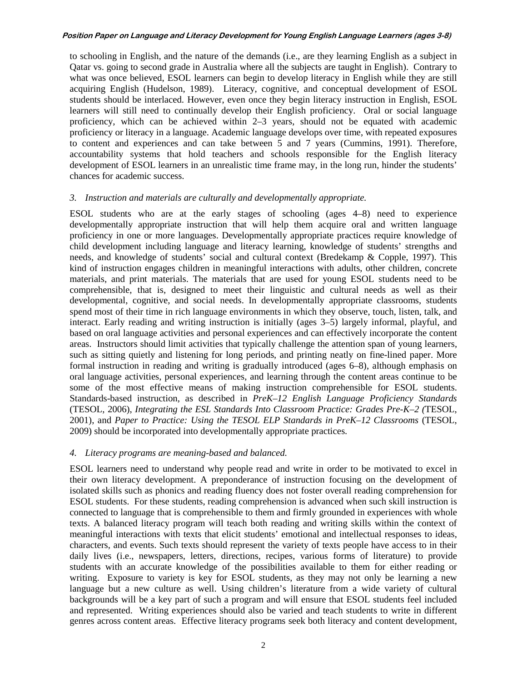to schooling in English, and the nature of the demands (i.e., are they learning English as a subject in Qatar vs. going to second grade in Australia where all the subjects are taught in English). Contrary to what was once believed, ESOL learners can begin to develop literacy in English while they are still acquiring English (Hudelson, 1989). Literacy, cognitive, and conceptual development of ESOL students should be interlaced. However, even once they begin literacy instruction in English, ESOL learners will still need to continually develop their English proficiency. Oral or social language proficiency, which can be achieved within 2–3 years, should not be equated with academic proficiency or literacy in a language. Academic language develops over time, with repeated exposures to content and experiences and can take between 5 and 7 years (Cummins, 1991). Therefore, accountability systems that hold teachers and schools responsible for the English literacy development of ESOL learners in an unrealistic time frame may, in the long run, hinder the students' chances for academic success.

## *3. Instruction and materials are culturally and developmentally appropriate.*

ESOL students who are at the early stages of schooling (ages 4–8) need to experience developmentally appropriate instruction that will help them acquire oral and written language proficiency in one or more languages. Developmentally appropriate practices require knowledge of child development including language and literacy learning, knowledge of students' strengths and needs, and knowledge of students' social and cultural context (Bredekamp & Copple, 1997). This kind of instruction engages children in meaningful interactions with adults, other children, concrete materials, and print materials. The materials that are used for young ESOL students need to be comprehensible, that is, designed to meet their linguistic and cultural needs as well as their developmental, cognitive, and social needs. In developmentally appropriate classrooms, students spend most of their time in rich language environments in which they observe, touch, listen, talk, and interact. Early reading and writing instruction is initially (ages 3–5) largely informal, playful, and based on oral language activities and personal experiences and can effectively incorporate the content areas. Instructors should limit activities that typically challenge the attention span of young learners, such as sitting quietly and listening for long periods, and printing neatly on fine-lined paper. More formal instruction in reading and writing is gradually introduced (ages 6–8), although emphasis on oral language activities, personal experiences, and learning through the content areas continue to be some of the most effective means of making instruction comprehensible for ESOL students. Standards-based instruction, as described in *PreK–12 English Language Proficiency Standards*  (TESOL, 2006), *Integrating the ESL Standards Into Classroom Practice: Grades Pre-K–2 (*TESOL, 2001), and *Paper to Practice: Using the TESOL ELP Standards in PreK–12 Classrooms* (TESOL, 2009) should be incorporated into developmentally appropriate practices.

# *4. Literacy programs are meaning-based and balanced.*

ESOL learners need to understand why people read and write in order to be motivated to excel in their own literacy development. A preponderance of instruction focusing on the development of isolated skills such as phonics and reading fluency does not foster overall reading comprehension for ESOL students. For these students, reading comprehension is advanced when such skill instruction is connected to language that is comprehensible to them and firmly grounded in experiences with whole texts. A balanced literacy program will teach both reading and writing skills within the context of meaningful interactions with texts that elicit students' emotional and intellectual responses to ideas, characters, and events. Such texts should represent the variety of texts people have access to in their daily lives (i.e., newspapers, letters, directions, recipes, various forms of literature) to provide students with an accurate knowledge of the possibilities available to them for either reading or writing. Exposure to variety is key for ESOL students, as they may not only be learning a new language but a new culture as well. Using children's literature from a wide variety of cultural backgrounds will be a key part of such a program and will ensure that ESOL students feel included and represented. Writing experiences should also be varied and teach students to write in different genres across content areas. Effective literacy programs seek both literacy and content development,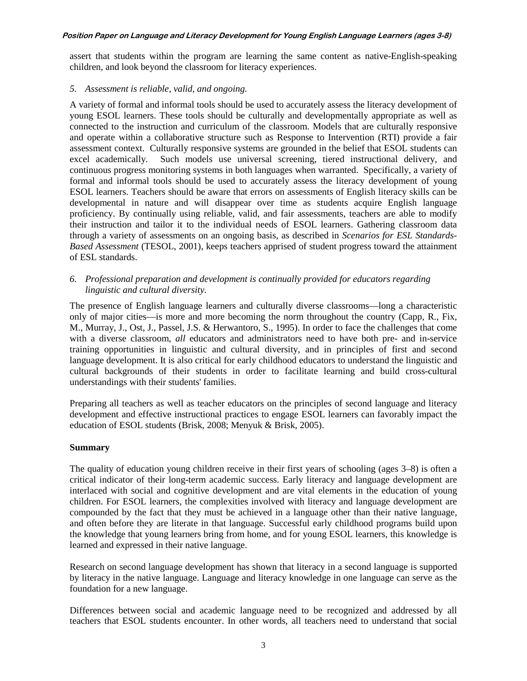assert that students within the program are learning the same content as native-English-speaking children, and look beyond the classroom for literacy experiences.

## *5. Assessment is reliable, valid, and ongoing.*

A variety of formal and informal tools should be used to accurately assess the literacy development of young ESOL learners. These tools should be culturally and developmentally appropriate as well as connected to the instruction and curriculum of the classroom. Models that are culturally responsive and operate within a collaborative structure such as Response to Intervention (RTI) provide a fair assessment context. Culturally responsive systems are grounded in the belief that ESOL students can excel academically. Such models use universal screening, tiered instructional delivery, and continuous progress monitoring systems in both languages when warranted. Specifically, a variety of formal and informal tools should be used to accurately assess the literacy development of young ESOL learners. Teachers should be aware that errors on assessments of English literacy skills can be developmental in nature and will disappear over time as students acquire English language proficiency. By continually using reliable, valid, and fair assessments, teachers are able to modify their instruction and tailor it to the individual needs of ESOL learners. Gathering classroom data through a variety of assessments on an ongoing basis, as described in *Scenarios for ESL Standards-Based Assessment* (TESOL, 2001), keeps teachers apprised of student progress toward the attainment of ESL standards.

# *6. Professional preparation and development is continually provided for educators regarding linguistic and cultural diversity.*

The presence of English language learners and culturally diverse classrooms—long a characteristic only of major cities—is more and more becoming the norm throughout the country (Capp, R., Fix, M., Murray, J., Ost, J., Passel, J.S. & Herwantoro, S., 1995). In order to face the challenges that come with a diverse classroom, *all* educators and administrators need to have both pre- and in-service training opportunities in linguistic and cultural diversity, and in principles of first and second language development. It is also critical for early childhood educators to understand the linguistic and cultural backgrounds of their students in order to facilitate learning and build cross-cultural understandings with their students' families.

Preparing all teachers as well as teacher educators on the principles of second language and literacy development and effective instructional practices to engage ESOL learners can favorably impact the education of ESOL students (Brisk, 2008; Menyuk & Brisk, 2005).

# **Summary**

The quality of education young children receive in their first years of schooling (ages 3–8) is often a critical indicator of their long-term academic success. Early literacy and language development are interlaced with social and cognitive development and are vital elements in the education of young children. For ESOL learners, the complexities involved with literacy and language development are compounded by the fact that they must be achieved in a language other than their native language, and often before they are literate in that language. Successful early childhood programs build upon the knowledge that young learners bring from home, and for young ESOL learners, this knowledge is learned and expressed in their native language.

Research on second language development has shown that literacy in a second language is supported by literacy in the native language. Language and literacy knowledge in one language can serve as the foundation for a new language.

Differences between social and academic language need to be recognized and addressed by all teachers that ESOL students encounter. In other words, all teachers need to understand that social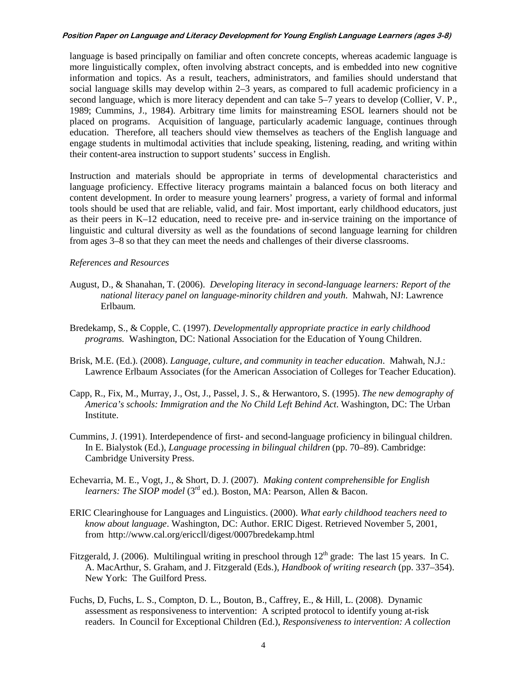language is based principally on familiar and often concrete concepts, whereas academic language is more linguistically complex, often involving abstract concepts, and is embedded into new cognitive information and topics. As a result, teachers, administrators, and families should understand that social language skills may develop within 2–3 years, as compared to full academic proficiency in a second language, which is more literacy dependent and can take 5–7 years to develop (Collier, V. P., 1989; Cummins, J., 1984). Arbitrary time limits for mainstreaming ESOL learners should not be placed on programs. Acquisition of language, particularly academic language, continues through education. Therefore, all teachers should view themselves as teachers of the English language and engage students in multimodal activities that include speaking, listening, reading, and writing within their content-area instruction to support students' success in English.

Instruction and materials should be appropriate in terms of developmental characteristics and language proficiency. Effective literacy programs maintain a balanced focus on both literacy and content development. In order to measure young learners' progress, a variety of formal and informal tools should be used that are reliable, valid, and fair. Most important, early childhood educators, just as their peers in K–12 education, need to receive pre- and in-service training on the importance of linguistic and cultural diversity as well as the foundations of second language learning for children from ages 3*–*8 so that they can meet the needs and challenges of their diverse classrooms.

#### *References and Resources*

- August, D., & Shanahan, T. (2006). *Developing literacy in second-language learners: Report of the national literacy panel on language-minority children and youth*. Mahwah, NJ: Lawrence Erlbaum.
- Bredekamp, S., & Copple, C. (1997). *Developmentally appropriate practice in early childhood programs.* Washington, DC: National Association for the Education of Young Children.
- Brisk, M.E. (Ed.). (2008). *Language, culture, and community in teacher education*. Mahwah, N.J.: Lawrence Erlbaum Associates (for the American Association of Colleges for Teacher Education).
- Capp, R., Fix, M., Murray, J., Ost, J., Passel, J. S., & Herwantoro, S. (1995). *The new demography of America's schools: Immigration and the No Child Left Behind Act*. Washington, DC: The Urban Institute.
- Cummins, J. (1991). Interdependence of first- and second-language proficiency in bilingual children. In E. Bialystok (Ed.), *Language processing in bilingual children* (pp. 70*–*89). Cambridge: Cambridge University Press.
- Echevarria, M. E., Vogt, J., & Short, D. J. (2007). *Making content comprehensible for English learners: The SIOP model* (3<sup>rd</sup> ed.). Boston, MA: Pearson, Allen & Bacon.
- ERIC Clearinghouse for Languages and Linguistics. (2000). *What early childhood teachers need to know about language*. Washington, DC: Author. ERIC Digest. Retrieved November 5, 2001, from http://www.cal.org/ericcll/digest/0007bredekamp.html
- Fitzgerald, J. (2006). Multilingual writing in preschool through  $12<sup>th</sup>$  grade: The last 15 years. In C. A. MacArthur, S. Graham, and J. Fitzgerald (Eds.), *Handbook of writing research* (pp. 337*–*354). New York: The Guilford Press.
- Fuchs, D, Fuchs, L. S., Compton, D. L., Bouton, B., Caffrey, E., & Hill, L. (2008). Dynamic assessment as responsiveness to intervention: A scripted protocol to identify young at-risk readers. In Council for Exceptional Children (Ed.), *Responsiveness to intervention: A collection*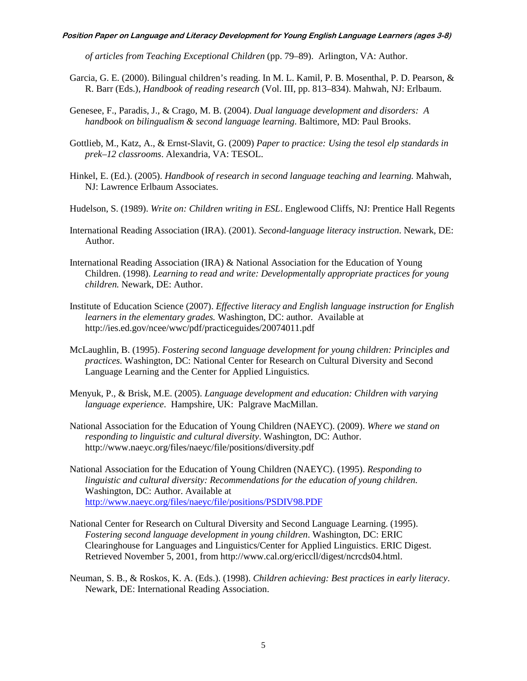*of articles from Teaching Exceptional Children* (pp. 79*–*89). Arlington, VA: Author.

- Garcia, G. E. (2000). Bilingual children's reading. In M. L. Kamil, P. B. Mosenthal, P. D. Pearson, & R. Barr (Eds.), *Handbook of reading research* (Vol. III, pp. 813*–*834). Mahwah, NJ: Erlbaum.
- Genesee, F., Paradis, J., & Crago, M. B. (2004). *Dual language development and disorders: A handbook on bilingualism & second language learning*. Baltimore, MD: Paul Brooks.
- Gottlieb, M., Katz, A., & Ernst-Slavit, G. (2009) *Paper to practice: Using the tesol elp standards in prek–12 classrooms*. Alexandria, VA: TESOL.
- Hinkel, E. (Ed.). (2005). *Handbook of research in second language teaching and learning.* Mahwah, NJ: Lawrence Erlbaum Associates.
- Hudelson, S. (1989). *Write on: Children writing in ESL*. Englewood Cliffs, NJ: Prentice Hall Regents
- International Reading Association (IRA). (2001). *Second-language literacy instruction*. Newark, DE: Author.
- International Reading Association (IRA) & National Association for the Education of Young Children. (1998). *Learning to read and write: Developmentally appropriate practices for young children.* Newark, DE: Author.
- Institute of Education Science (2007). *Effective literacy and English language instruction for English learners in the elementary grades.* Washington, DC: author. Available at http://ies.ed.gov/ncee/wwc/pdf/practiceguides/20074011.pdf
- McLaughlin, B. (1995). *Fostering second language development for young children: Principles and practices.* Washington, DC: National Center for Research on Cultural Diversity and Second Language Learning and the Center for Applied Linguistics*.*
- Menyuk, P., & Brisk, M.E. (2005). *Language development and education: Children with varying language experience*. Hampshire, UK: Palgrave MacMillan.
- National Association for the Education of Young Children (NAEYC). (2009). *Where we stand on responding to linguistic and cultural diversity*. Washington, DC: Author. http://www.naeyc.org/files/naeyc/file/positions/diversity.pdf
- National Association for the Education of Young Children (NAEYC). (1995). *Responding to linguistic and cultural diversity: Recommendations for the education of young children.* Washington, DC: Author. Available at <http://www.naeyc.org/files/naeyc/file/positions/PSDIV98.PDF>
- National Center for Research on Cultural Diversity and Second Language Learning. (1995). *Fostering second language development in young children*. Washington, DC: ERIC Clearinghouse for Languages and Linguistics/Center for Applied Linguistics. ERIC Digest. Retrieved November 5, 2001, from http://www.cal.org/ericcll/digest/ncrcds04.html.
- Neuman, S. B., & Roskos, K. A. (Eds.). (1998). *Children achieving: Best practices in early literacy*. Newark, DE: International Reading Association.